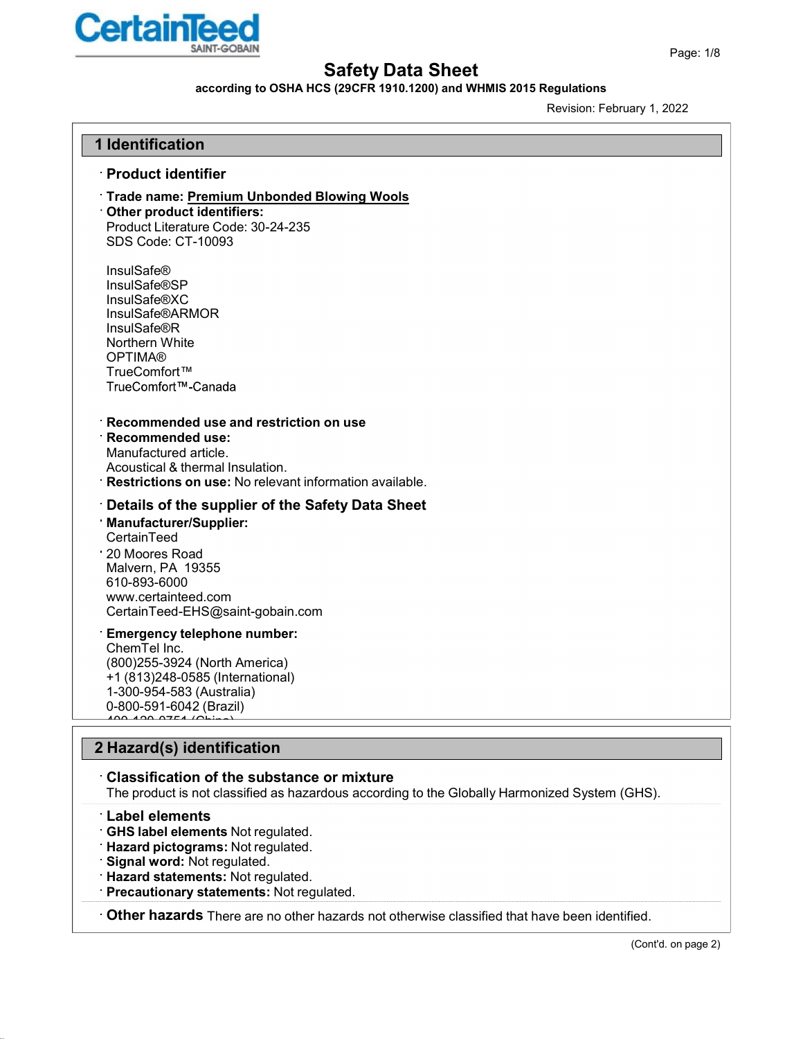

### according to OSHA HCS (29CFR 1910.1200) and WHMIS 2015 Regulations

Revision: February 1, 2022

#### 1 Identification

#### Product identifier

## Trade name: Premium Unbonded Blowing Wools

Other product identifiers: Product Literature Code: 30-24-235 SDS Code: CT-10093

InsulSafe® InsulSafe®SP InsulSafe®XC InsulSafe®ARMOR InsulSafe®R Northern White OPTIMA® TrueComfort™<br>TrueComfort™-Canada

#### Recommended use and restriction on use

Recommended use: Manufactured article. Acoustical & thermal Insulation. Restrictions on use: No relevant information available.

#### Details of the supplier of the Safety Data Sheet

Manufacturer/Supplier: CertainTeed 20 Moores Road Malvern, PA 19355 610-893-6000 www.certainteed.com CertainTeed-EHS@saint-gobain.com

#### Emergency telephone number:

ChemTel Inc. (800)255-3924 (North America) +1 (813)248-0585 (International) 1-300-954-583 (Australia) 0-800-591-6042 (Brazil) 400-120-0751 (China)

### 2 Hazard(s) identification

#### Classification of the substance or mixture

The product is not classified as hazardous according to the Globally Harmonized System (GHS).

#### Label elements

- GHS label elements Not regulated.
- Hazard pictograms: Not regulated.
- Signal word: Not regulated.
- Hazard statements: Not regulated.
- Precautionary statements: Not regulated.

Other hazards There are no other hazards not otherwise classified that have been identified.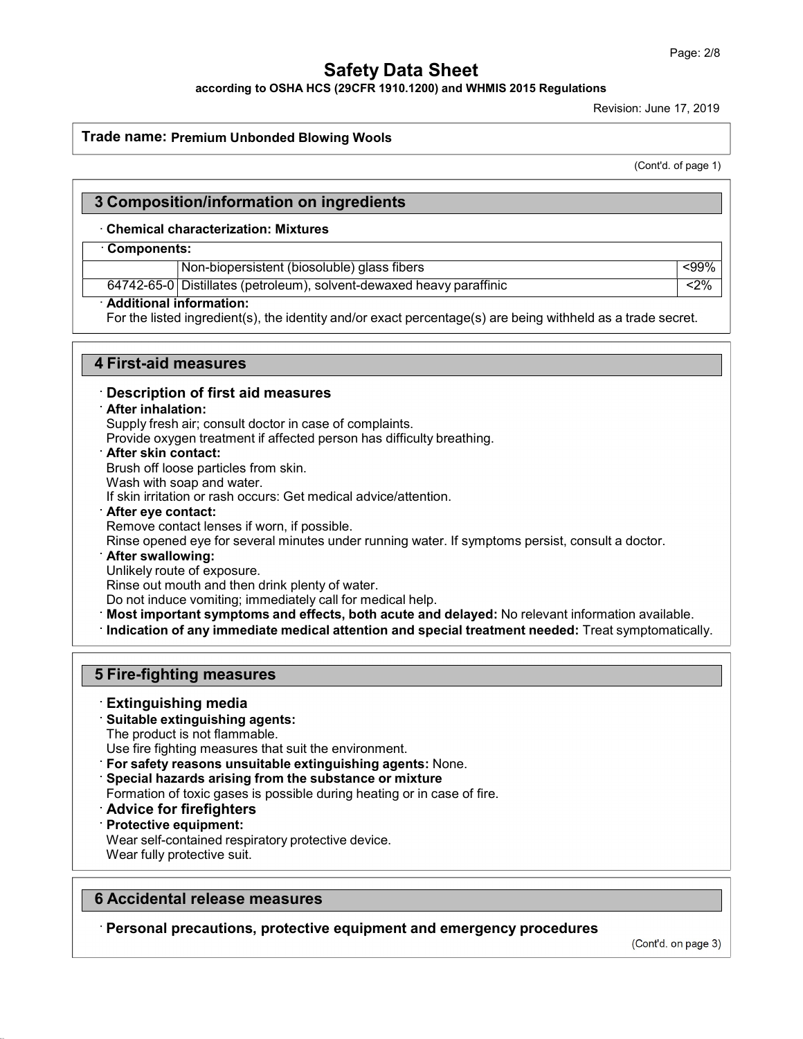according to OSHA HCS (29CFR 1910.1200) and WHMIS 2015 Regulations

Revision: June 17, 2019

#### Trade name: Premium Unbonded Blowing Wools

(Cont'd. of page 1)

### 3 Composition/information on ingredients

#### · Chemical characterization: Mixtures

#### · Components:

Non-biopersistent (biosoluble) glass fibers  $\sim$   $\sim$  99%

64742-65-0 Distillates (petroleum), solvent-dewaxed heavy paraffinic <2%

## Additional information:

For the listed ingredient(s), the identity and/or exact percentage(s) are being withheld as a trade secret.

#### 4 First-aid measures

Description of first aid measures

#### After inhalation:

Supply fresh air; consult doctor in case of complaints.

Provide oxygen treatment if affected person has difficulty breathing.

After skin contact:

Brush off loose particles from skin.

Wash with soap and water.

If skin irritation or rash occurs: Get medical advice/attention.

After eye contact:

Remove contact lenses if worn, if possible.

Rinse opened eye for several minutes under running water. If symptoms persist, consult a doctor.

After swallowing:

Unlikely route of exposure.

Rinse out mouth and then drink plenty of water.

Do not induce vomiting; immediately call for medical help.

Most important symptoms and effects, both acute and delayed: No relevant information available.

Indication of any immediate medical attention and special treatment needed: Treat symptomatically.

### 5 Fire-fighting measures

#### Extinguishing media

Suitable extinguishing agents:

The product is not flammable.

Use fire fighting measures that suit the environment.

For safety reasons unsuitable extinguishing agents: None.

Special hazards arising from the substance or mixture

Formation of toxic gases is possible during heating or in case of fire.

- Advice for firefighters
- Protective equipment:

Wear self-contained respiratory protective device.

### 6 Accidental release measures

Wear fully protective suit.<br>
• **· Accidental release measures**<br>
• Personal precautions, protective equipment and emergency procedures

(Cont'd. on page 3)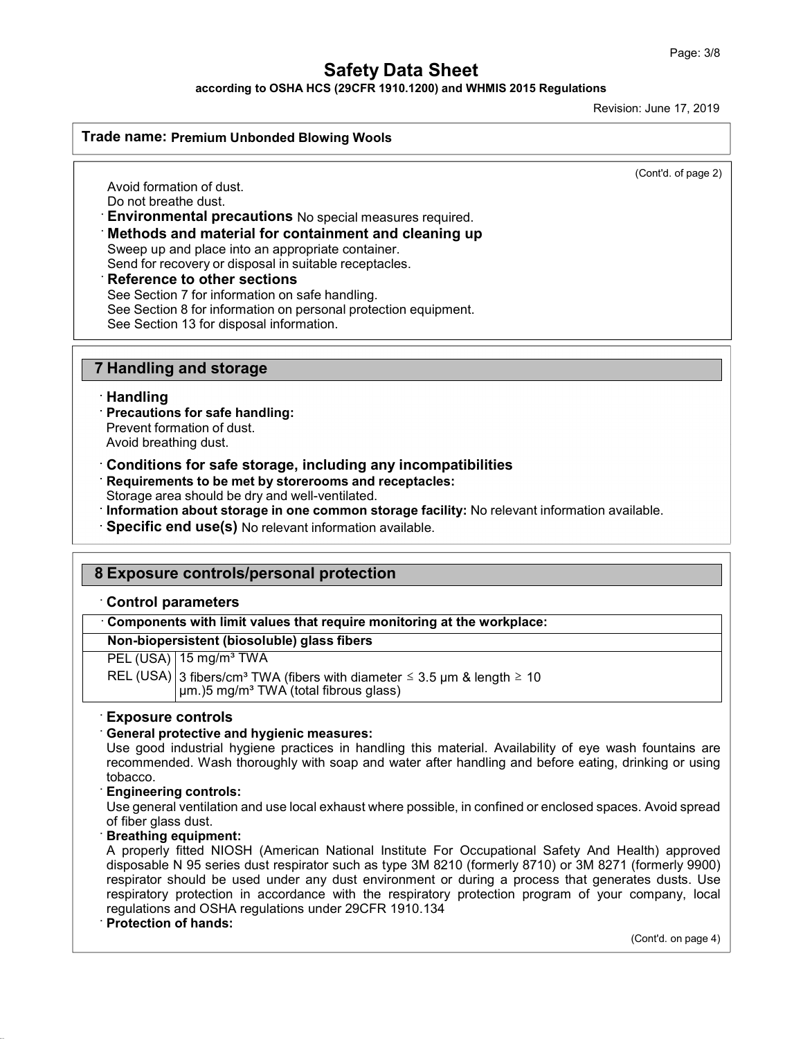according to OSHA HCS (29CFR 1910.1200) and WHMIS 2015 Regulations

Revision: June 17, 2019

#### Trade name: Premium Unbonded Blowing Wools

(Cont'd. of page 2)

Avoid formation of dust. Do not breathe dust.

· Environmental precautions No special measures required.

#### · Methods and material for containment and cleaning up

Sweep up and place into an appropriate container.

Send for recovery or disposal in suitable receptacles.

#### **Reference to other sections**

See Section 7 for information on safe handling.

See Section 8 for information on personal protection equipment.

See Section 13 for disposal information.

### 7 Handling and storage

#### Handling

Precautions for safe handling:

Prevent formation of dust. Avoid breathing dust.

- Conditions for safe storage, including any incompatibilities
- Requirements to be met by storerooms and receptacles:

Storage area should be dry and well-ventilated.

- Information about storage in one common storage facility: No relevant information available.
- Specific end use(s) No relevant information available.

## 8 Exposure controls/personal protection

#### · Control parameters

| Components with limit values that require monitoring at the workplace:                                                                             |  |  |
|----------------------------------------------------------------------------------------------------------------------------------------------------|--|--|
| Non-biopersistent (biosoluble) glass fibers                                                                                                        |  |  |
| $PEL (USA)$ 15 mg/m <sup>3</sup> TWA                                                                                                               |  |  |
| REL (USA) 3 fibers/cm <sup>3</sup> TWA (fibers with diameter $\leq$ 3.5 µm & length $\geq$ 10<br>µm.)5 mg/m <sup>3</sup> TWA (total fibrous glass) |  |  |
|                                                                                                                                                    |  |  |

#### · Exposure controls

### · General protective and hygienic measures:

Use good industrial hygiene practices in handling this material. Availability of eye wash fountains are recommended. Wash thoroughly with soap and water after handling and before eating, drinking or using tobacco.<br>Engineering controls:

Use general ventilation and use local exhaust where possible, in confined or enclosed spaces. Avoid spread of fiber glass dust.<br>**Breathing equipment:** 

A properly fitted NIOSH (American National Institute For Occupational Safety And Health) approved disposable N 95 series dust respirator such as type 3M 8210 (formerly 8710) or 3M 8271 (formerly 9900) respirator should be used under any dust environment or during a process that generates dusts. Use respiratory protection in accordance with the respiratory protection program of your company, local regulations and OSHA regulations under 29CFR 1910.134 Protection of hands:

(Cont'd. on page 4)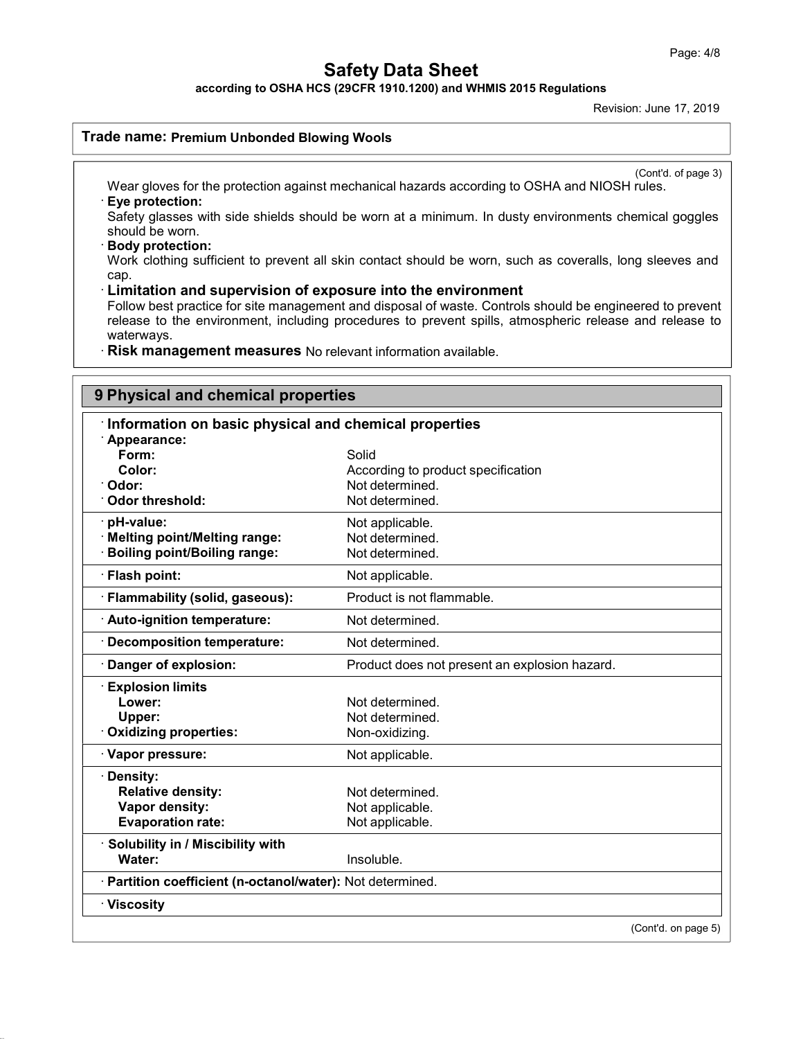according to OSHA HCS (29CFR 1910.1200) and WHMIS 2015 Regulations

Revision: June 17, 2019

#### Trade name: Premium Unbonded Blowing Wools

(Cont'd. of page 3)

Wear gloves for the protection against mechanical hazards according to OSHA and NIOSH rules. · Eye protection:

Safety glasses with side shields should be worn at a minimum. In dusty environments chemical goggles should be worn.

· Body protection:

Work clothing sufficient to prevent all skin contact should be worn, such as coveralls, long sleeves and cap.

#### · Limitation and supervision of exposure into the environment

Follow best practice for site management and disposal of waste. Controls should be engineered to prevent release to the environment, including procedures to prevent spills, atmospheric release and release to waterways.

· Risk management measures No relevant information available.

# 9 Physical and chemical properties

| Information on basic physical and chemical properties                                   |                                                                                   |  |
|-----------------------------------------------------------------------------------------|-----------------------------------------------------------------------------------|--|
| Appearance:<br>Form:<br>Color:<br>Odor:<br><b>Odor threshold:</b>                       | Solid<br>According to product specification<br>Not determined.<br>Not determined. |  |
| pH-value:<br><b>Melting point/Melting range:</b><br><b>Boiling point/Boiling range:</b> | Not applicable.<br>Not determined.<br>Not determined.                             |  |
| · Flash point:                                                                          | Not applicable.                                                                   |  |
| · Flammability (solid, gaseous):                                                        | Product is not flammable.                                                         |  |
| · Auto-ignition temperature:                                                            | Not determined.                                                                   |  |
| Decomposition temperature:                                                              | Not determined.                                                                   |  |
| Danger of explosion:                                                                    | Product does not present an explosion hazard.                                     |  |
| <b>Explosion limits</b><br>Lower:<br>Upper:<br><b>Oxidizing properties:</b>             | Not determined.<br>Not determined.<br>Non-oxidizing.                              |  |
| · Vapor pressure:                                                                       | Not applicable.                                                                   |  |
| · Density:<br><b>Relative density:</b><br>Vapor density:<br><b>Evaporation rate:</b>    | Not determined.<br>Not applicable.<br>Not applicable.                             |  |
| Solubility in / Miscibility with<br>Water:                                              | Insoluble.                                                                        |  |
| · Partition coefficient (n-octanol/water): Not determined.                              |                                                                                   |  |
| · Viscosity                                                                             |                                                                                   |  |
|                                                                                         | (Cont'd. on page 5)                                                               |  |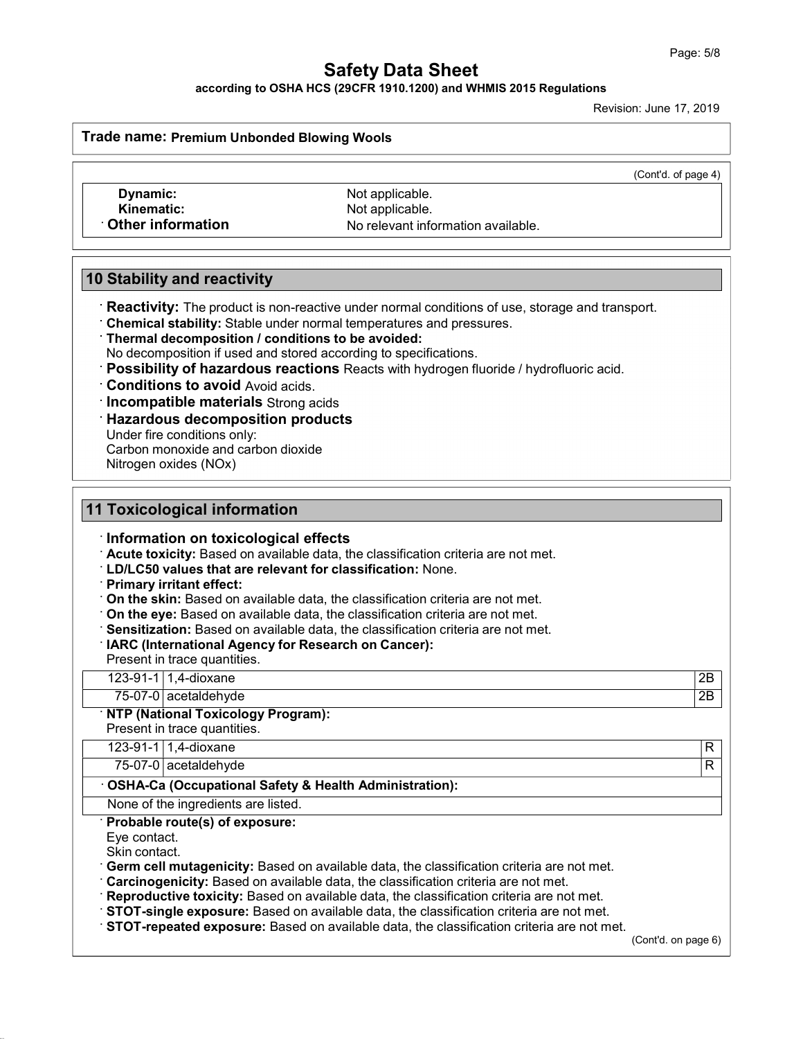according to OSHA HCS (29CFR 1910.1200) and WHMIS 2015 Regulations

Revision: June 17, 2019

Trade name: Premium Unbonded Blowing Wools

(Cont'd. of page 4)

**Dynamic:** Not applicable.<br> **Kinematic:** Not applicable.

Kinematic: Not applicable.<br>Chain information of the Notelevant information of the Notelevant information No relevant information available.

## 10 Stability and reactivity

**Reactivity:** The product is non-reactive under normal conditions of use, storage and transport.

Chemical stability: Stable under normal temperatures and pressures.

Thermal decomposition / conditions to be avoided:

No decomposition if used and stored according to specifications.

- Possibility of hazardous reactions Reacts with hydrogen fluoride / hydrofluoric acid.
- Conditions to avoid Avoid acids.
- **Incompatible materials** Strong acids

Hazardous decomposition products

Under fire conditions only:

Carbon monoxide and carbon dioxide

Nitrogen oxides (NOx)

## 11 Toxicological information · Information on toxicological effects · Acute toxicity: Based on available data, the classification criteria are not met. · LD/LC50 values that are relevant for classification: None. · Primary irritant effect: · On the skin: Based on available data, the classification criteria are not met. · On the eye: Based on available data, the classification criteria are not met. · Sensitization: Based on available data, the classification criteria are not met. · IARC (International Agency for Research on Cancer): Present in trace quantities. 123-91-1 1,4-dioxane 2B 75-07-0 acetaldehyde 2B **NTP (National Toxicology Program):** Present in trace quantities. 123-91-1 1,4-dioxane R 75-07-0 acetaldehyde R · OSHA-Ca (Occupational Safety & Health Administration): None of the ingredients are listed. Probable route(s) of exposure: Eye contact. Skin contact.<br>**Germ cell mutagenicity:** Based on available data, the classification criteria are not met. · Carcinogenicity: Based on available data, the classification criteria are not met. · Reproductive toxicity: Based on available data, the classification criteria are not met. · STOT-single exposure: Based on available data, the classification criteria are not met. · STOT-repeated exposure: Based on available data, the classification criteria are not met.

(Cont'd. on page 6)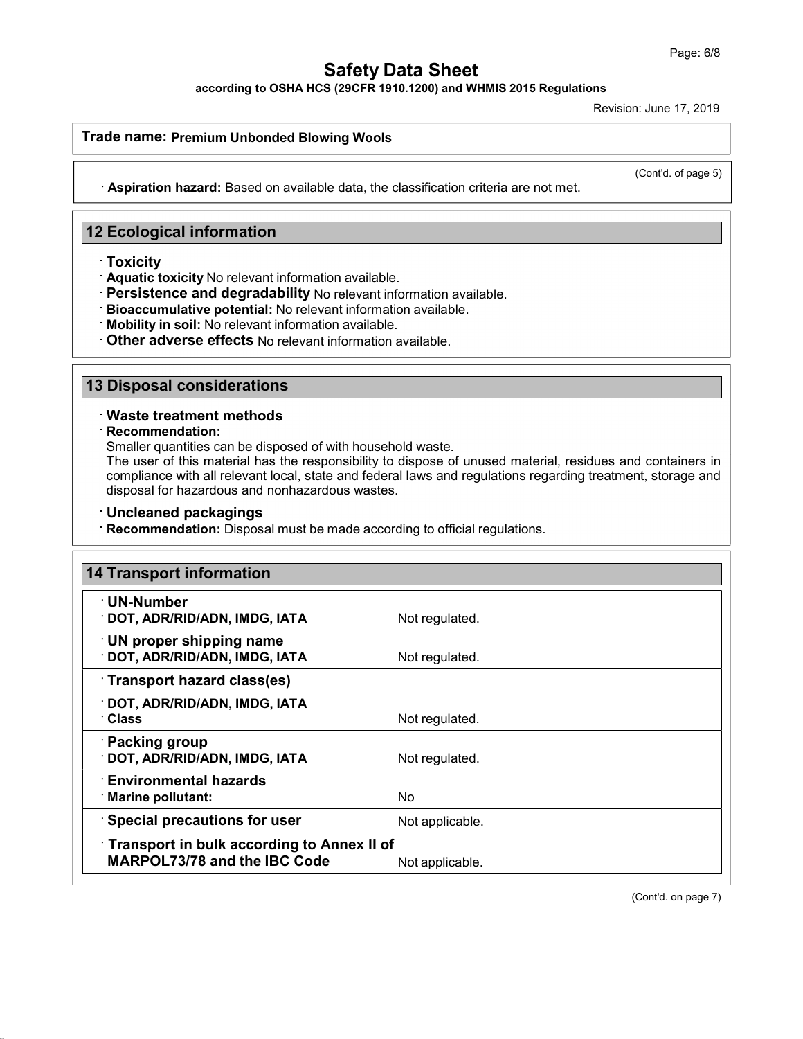according to OSHA HCS (29CFR 1910.1200) and WHMIS 2015 Regulations

Revision: June 17, 2019

#### Trade name: Premium Unbonded Blowing Wools

(Cont'd. of page 5)

· Aspiration hazard: Based on available data, the classification criteria are not met.

## 12 Ecological information

- **Toxicity**
- Aquatic toxicity No relevant information available.
- Persistence and degradability No relevant information available.
- Bioaccumulative potential: No relevant information available.
- Mobility in soil: No relevant information available.
- Other adverse effects No relevant information available.

## 13 Disposal considerations

### Waste treatment methods

Recommendation:

Smaller quantities can be disposed of with household waste.

The user of this material has the responsibility to dispose of unused material, residues and containers in compliance with all relevant local, state and federal laws and regulations regarding treatment, storage and disposal for hazardous and nonhazardous wastes.

#### Uncleaned packagings

Recommendation: Disposal must be made according to official regulations.

| <b>14 Transport information</b>                                                   |                 |
|-----------------------------------------------------------------------------------|-----------------|
| <b>UN-Number</b><br><b>DOT, ADR/RID/ADN, IMDG, IATA</b>                           | Not regulated.  |
| $\cdot$ UN proper shipping name<br>DOT, ADR/RID/ADN, IMDG, IATA                   | Not regulated.  |
| Transport hazard class(es)                                                        |                 |
| <b>DOT, ADR/RID/ADN, IMDG, IATA</b><br>∵Class                                     | Not regulated.  |
| · Packing group<br>DOT, ADR/RID/ADN, IMDG, IATA                                   | Not regulated.  |
| $\cdot$ Environmental hazards<br>Marine pollutant:                                | No.             |
| <b>Special precautions for user</b>                                               | Not applicable. |
| Transport in bulk according to Annex II of<br><b>MARPOL73/78 and the IBC Code</b> | Not applicable. |

(Cont'd. on page 7)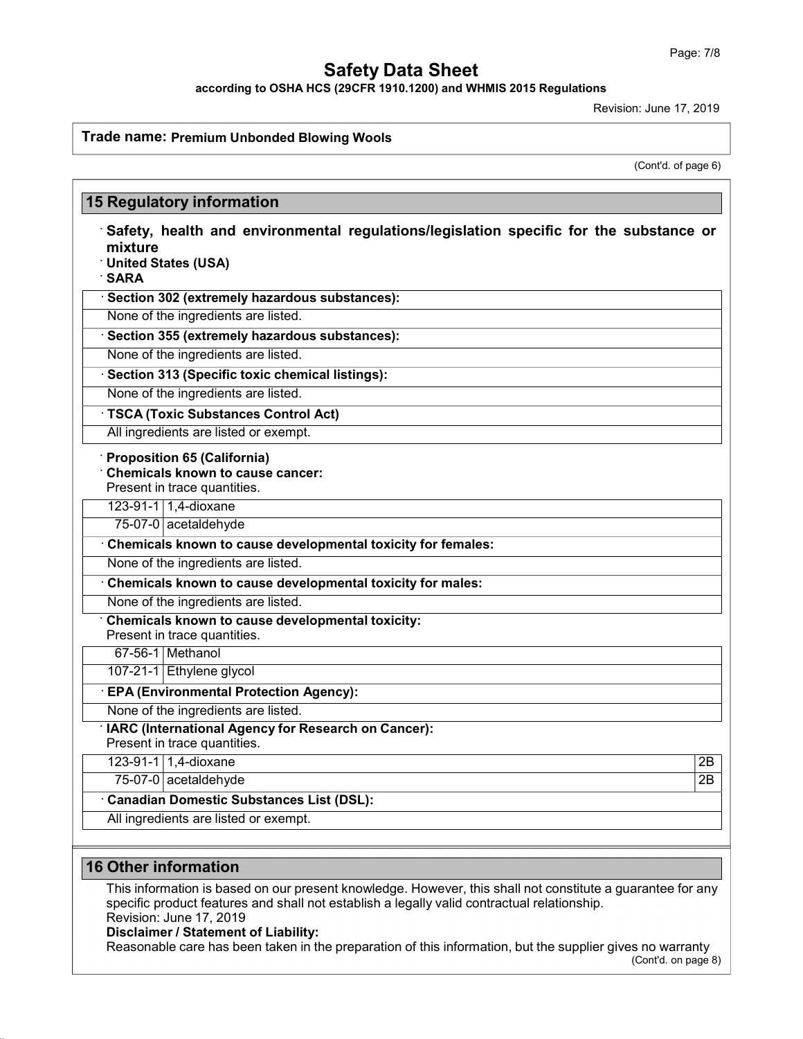according to OSHA HCS (29CFR 1910.1200) and WHMIS 2015 Regulations

Revision: June 17, 2019

## Trade name: Premium Unbonded Blowing Wools

(Cont'd. of page 6)

| mixture<br><b>SARA</b> | <b>United States (USA)</b>                                                                                                                                 |                                                   | Safety, health and environmental regulations/legislation specific for the substance or                                     |  |  |
|------------------------|------------------------------------------------------------------------------------------------------------------------------------------------------------|---------------------------------------------------|----------------------------------------------------------------------------------------------------------------------------|--|--|
|                        |                                                                                                                                                            | · Section 302 (extremely hazardous substances):   |                                                                                                                            |  |  |
|                        | None of the ingredients are listed.                                                                                                                        |                                                   |                                                                                                                            |  |  |
|                        |                                                                                                                                                            | · Section 355 (extremely hazardous substances):   |                                                                                                                            |  |  |
|                        | None of the ingredients are listed.                                                                                                                        |                                                   |                                                                                                                            |  |  |
|                        |                                                                                                                                                            | · Section 313 (Specific toxic chemical listings): |                                                                                                                            |  |  |
|                        | None of the ingredients are listed.                                                                                                                        |                                                   |                                                                                                                            |  |  |
|                        |                                                                                                                                                            | <b>TSCA (Toxic Substances Control Act)</b>        |                                                                                                                            |  |  |
|                        |                                                                                                                                                            | All ingredients are listed or exempt.             |                                                                                                                            |  |  |
|                        | 123-91-1 1,4-dioxane<br>75-07-0 acetaldehyde<br>None of the ingredients are listed.<br>None of the ingredients are listed.<br>Present in trace quantities. | Chemicals known to cause developmental toxicity:  | Chemicals known to cause developmental toxicity for females:<br>Chemicals known to cause developmental toxicity for males: |  |  |
|                        | 67-56-1 Methanol                                                                                                                                           |                                                   |                                                                                                                            |  |  |
|                        | 107-21-1 Ethylene glycol                                                                                                                                   |                                                   |                                                                                                                            |  |  |
|                        |                                                                                                                                                            | · EPA (Environmental Protection Agency):          |                                                                                                                            |  |  |
|                        | None of the ingredients are listed.                                                                                                                        |                                                   |                                                                                                                            |  |  |
|                        | Present in trace quantities.                                                                                                                               |                                                   | IARC (International Agency for Research on Cancer):                                                                        |  |  |
|                        | 123-91-1 1,4-dioxane                                                                                                                                       |                                                   |                                                                                                                            |  |  |
|                        | 75-07-0 acetaldehyde                                                                                                                                       |                                                   |                                                                                                                            |  |  |
|                        |                                                                                                                                                            | · Canadian Domestic Substances List (DSL):        |                                                                                                                            |  |  |

## 16 Other information

This information is based on our present knowledge. However, this shall not constitute a guarantee for any specific product features and shall not establish a legally valid contractual relationship. Revision: June 17, 2019

#### Disclaimer / Statement of Liability:

Reasonable care has been taken in the preparation of this information, but the supplier gives no warranty (Cont'd. on page 8)